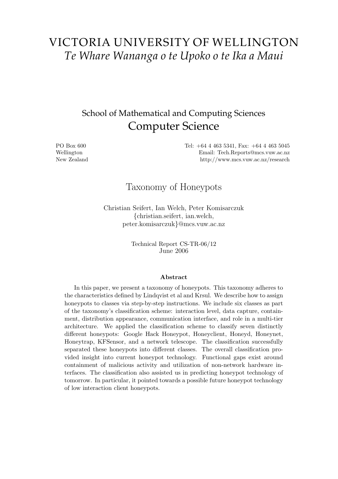# VICTORIA UNIVERSITY OF WELLINGTON *Te Whare Wananga o te Upoko o te Ika a Maui*

# School of Mathematical and Computing Sciences Computer Science

PO Box 600 Wellington New Zealand Tel: +64 4 463 5341, Fax: +64 4 463 5045 Email: Tech.Reports@mcs.vuw.ac.nz http://www.mcs.vuw.ac.nz/research

# Taxonomy of Honeypots

Christian Seifert, Ian Welch, Peter Komisarczuk {christian.seifert, ian.welch, peter.komisarczuk}@mcs.vuw.ac.nz

> Technical Report CS-TR-06/12 June 2006

#### Abstract

In this paper, we present a taxonomy of honeypots. This taxonomy adheres to the characteristics defined by Lindqvist et al and Krsul. We describe how to assign honeypots to classes via step-by-step instructions. We include six classes as part of the taxonomy's classification scheme: interaction level, data capture, containment, distribution appearance, communication interface, and role in a multi-tier architecture. We applied the classification scheme to classify seven distinctly different honeypots: Google Hack Honeypot, Honeyclient, Honeyd, Honeynet, Honeytrap, KFSensor, and a network telescope. The classification successfully separated these honeypots into different classes. The overall classification provided insight into current honeypot technology. Functional gaps exist around containment of malicious activity and utilization of non-network hardware interfaces. The classification also assisted us in predicting honeypot technology of tomorrow. In particular, it pointed towards a possible future honeypot technology of low interaction client honeypots.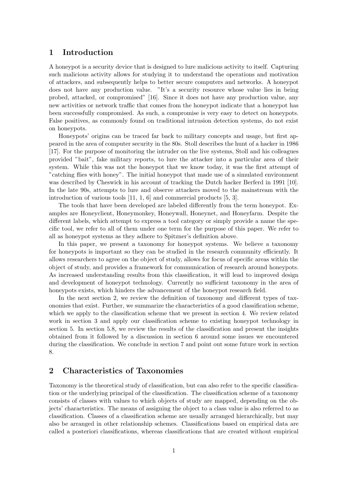# 1 Introduction

A honeypot is a security device that is designed to lure malicious activity to itself. Capturing such malicious activity allows for studying it to understand the operations and motivation of attackers, and subsequently helps to better secure computers and networks. A honeypot does not have any production value. "It's a security resource whose value lies in being probed, attacked, or compromised" [16]. Since it does not have any production value, any new activities or network traffic that comes from the honeypot indicate that a honeypot has been successfully compromised. As such, a compromise is very easy to detect on honeypots. False positives, as commonly found on traditional intrusion detection systems, do not exist on honeypots.

Honeypots' origins can be traced far back to military concepts and usage, but first appeared in the area of computer security in the 80s. Stoll describes the hunt of a hacker in 1986 [17]. For the purpose of monitoring the intruder on the live systems, Stoll and his colleagues provided "bait", fake military reports, to lure the attacker into a particular area of their system. While this was not the honeypot that we know today, it was the first attempt of "catching flies with honey". The initial honeypot that made use of a simulated environment was described by Cheswick in his account of tracking the Dutch hacker Berferd in 1991 [10]. In the late 90s, attempts to lure and observe attackers moved to the mainstream with the introduction of various tools [11, 1, 6] and commercial products [5, 3].

The tools that have been developed are labeled differently from the term honeypot. Examples are Honeyclient, Honeymonkey, Honeywall, Honeynet, and Honeyfarm. Despite the different labels, which attempt to express a tool category or simply provide a name the specific tool, we refer to all of them under one term for the purpose of this paper. We refer to all as honeypot systems as they adhere to Spitzner's definition above.

In this paper, we present a taxonomy for honeypot systems. We believe a taxonomy for honeypots is important so they can be studied in the research community efficiently. It allows researchers to agree on the object of study, allows for focus of specific areas within the object of study, and provides a framework for communication of research around honeypots. As increased understanding results from this classification, it will lead to improved design and development of honeypot technology. Currently no sufficient taxonomy in the area of honeypots exists, which hinders the advancement of the honeypot research field.

In the next section 2, we review the definition of taxonomy and different types of taxonomies that exist. Further, we summarize the characteristics of a good classification scheme, which we apply to the classification scheme that we present in section 4. We review related work in section 3 and apply our classification scheme to existing honeypot technology in section 5. In section 5.8, we review the results of the classification and present the insights obtained from it followed by a discussion in section 6 around some issues we encountered during the classification. We conclude in section 7 and point out some future work in section 8.

# 2 Characteristics of Taxonomies

Taxonomy is the theoretical study of classification, but can also refer to the specific classification or the underlying principal of the classification. The classification scheme of a taxonomy consists of classes with values to which objects of study are mapped, depending on the objects' characteristics. The means of assigning the object to a class value is also referred to as classification. Classes of a classification scheme are usually arranged hierarchically, but may also be arranged in other relationship schemes. Classifications based on empirical data are called a posteriori classifications, whereas classifications that are created without empirical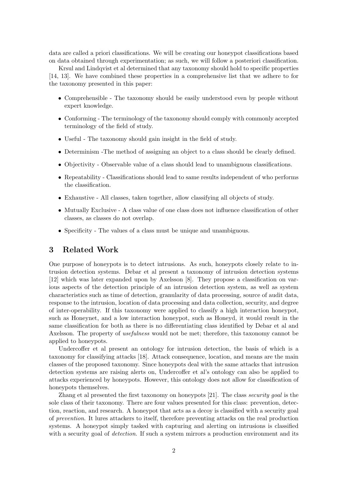data are called a priori classifications. We will be creating our honeypot classifications based on data obtained through experimentation; as such, we will follow a posteriori classification.

Krsul and Lindqvist et al determined that any taxonomy should hold to specific properties [14, 13]. We have combined these properties in a comprehensive list that we adhere to for the taxonomy presented in this paper:

- Comprehensible The taxonomy should be easily understood even by people without expert knowledge.
- Conforming The terminology of the taxonomy should comply with commonly accepted terminology of the field of study.
- Useful The taxonomy should gain insight in the field of study.
- Determinism -The method of assigning an object to a class should be clearly defined.
- Objectivity Observable value of a class should lead to unambiguous classifications.
- Repeatability Classifications should lead to same results independent of who performs the classification.
- Exhaustive All classes, taken together, allow classifying all objects of study.
- Mutually Exclusive A class value of one class does not influence classification of other classes, as classes do not overlap.
- Specificity The values of a class must be unique and unambiguous.

## 3 Related Work

One purpose of honeypots is to detect intrusions. As such, honeypots closely relate to intrusion detection systems. Debar et al present a taxonomy of intrusion detection systems [12] which was later expanded upon by Axelsson [8]. They propose a classification on various aspects of the detection principle of an intrusion detection system, as well as system characteristics such as time of detection, granularity of data processing, source of audit data, response to the intrusion, location of data processing and data collection, security, and degree of inter-operability. If this taxonomy were applied to classify a high interaction honeypot, such as Honeynet, and a low interaction honeypot, such as Honeyd, it would result in the same classification for both as there is no differentiating class identified by Debar et al and Axelsson. The property of usefulness would not be met; therefore, this taxonomy cannot be applied to honeypots.

Undercoffer et al present an ontology for intrusion detection, the basis of which is a taxonomy for classifying attacks [18]. Attack consequence, location, and means are the main classes of the proposed taxonomy. Since honeypots deal with the same attacks that intrusion detection systems are raising alerts on, Undercoffer et al's ontology can also be applied to attacks experienced by honeypots. However, this ontology does not allow for classification of honeypots themselves.

Zhang et al presented the first taxonomy on honeypots [21]. The class security goal is the sole class of their taxonomy. There are four values presented for this class: prevention, detection, reaction, and research. A honeypot that acts as a decoy is classified with a security goal of prevention. It lures attackers to itself, therefore preventing attacks on the real production systems. A honeypot simply tasked with capturing and alerting on intrusions is classified with a security goal of *detection*. If such a system mirrors a production environment and its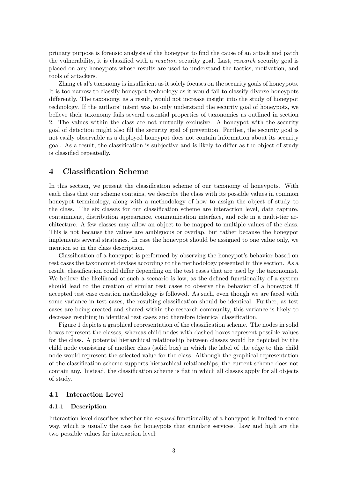primary purpose is forensic analysis of the honeypot to find the cause of an attack and patch the vulnerability, it is classified with a reaction security goal. Last, research security goal is placed on any honeypots whose results are used to understand the tactics, motivation, and tools of attackers.

Zhang et al's taxonomy is insufficient as it solely focuses on the security goals of honeypots. It is too narrow to classify honeypot technology as it would fail to classify diverse honeypots differently. The taxonomy, as a result, would not increase insight into the study of honeypot technology. If the authors' intent was to only understand the security goal of honeypots, we believe their taxonomy fails several essential properties of taxonomies as outlined in section 2. The values within the class are not mutually exclusive. A honeypot with the security goal of detection might also fill the security goal of prevention. Further, the security goal is not easily observable as a deployed honeypot does not contain information about its security goal. As a result, the classification is subjective and is likely to differ as the object of study is classified repeatedly.

# 4 Classification Scheme

In this section, we present the classification scheme of our taxonomy of honeypots. With each class that our scheme contains, we describe the class with its possible values in common honeypot terminology, along with a methodology of how to assign the object of study to the class. The six classes for our classification scheme are interaction level, data capture, containment, distribution appearance, communication interface, and role in a multi-tier architecture. A few classes may allow an object to be mapped to multiple values of the class. This is not because the values are ambiguous or overlap, but rather because the honeypot implements several strategies. In case the honeypot should be assigned to one value only, we mention so in the class description.

Classification of a honeypot is performed by observing the honeypot's behavior based on test cases the taxonomist devises according to the methodology presented in this section. As a result, classification could differ depending on the test cases that are used by the taxonomist. We believe the likelihood of such a scenario is low, as the defined functionality of a system should lead to the creation of similar test cases to observe the behavior of a honeypot if accepted test case creation methodology is followed. As such, even though we are faced with some variance in test cases, the resulting classification should be identical. Further, as test cases are being created and shared within the research community, this variance is likely to decrease resulting in identical test cases and therefore identical classification.

Figure 1 depicts a graphical representation of the classification scheme. The nodes in solid boxes represent the classes, whereas child nodes with dashed boxes represent possible values for the class. A potential hierarchical relationship between classes would be depicted by the child node consisting of another class (solid box) in which the label of the edge to this child node would represent the selected value for the class. Although the graphical representation of the classification scheme supports hierarchical relationships, the current scheme does not contain any. Instead, the classification scheme is flat in which all classes apply for all objects of study.

## 4.1 Interaction Level

#### 4.1.1 Description

Interaction level describes whether the exposed functionality of a honeypot is limited in some way, which is usually the case for honeypots that simulate services. Low and high are the two possible values for interaction level: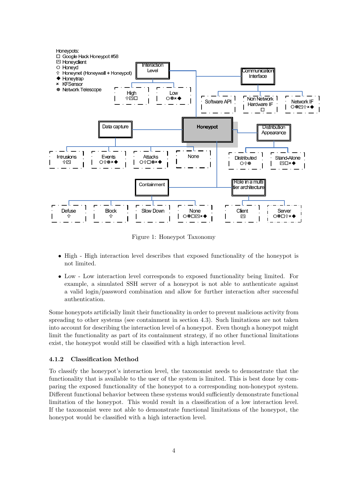

Figure 1: Honeypot Taxonomy

- High High interaction level describes that exposed functionality of the honeypot is not limited.
- Low Low interaction level corresponds to exposed functionality being limited. For example, a simulated SSH server of a honeypot is not able to authenticate against a valid login/password combination and allow for further interaction after successful authentication.

Some honeypots artificially limit their functionality in order to prevent malicious activity from spreading to other systems (see containment in section 4.3). Such limitations are not taken into account for describing the interaction level of a honeypot. Even though a honeypot might limit the functionality as part of its containment strategy, if no other functional limitations exist, the honeypot would still be classified with a high interaction level.

## 4.1.2 Classification Method

To classify the honeypot's interaction level, the taxonomist needs to demonstrate that the functionality that is available to the user of the system is limited. This is best done by comparing the exposed functionality of the honeypot to a corresponding non-honeypot system. Different functional behavior between these systems would sufficiently demonstrate functional limitation of the honeypot. This would result in a classification of a low interaction level. If the taxonomist were not able to demonstrate functional limitations of the honeypot, the honeypot would be classified with a high interaction level.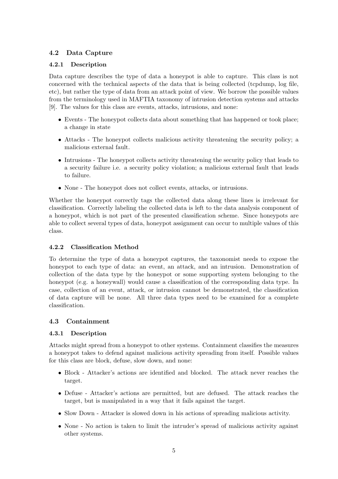# 4.2 Data Capture

# 4.2.1 Description

Data capture describes the type of data a honeypot is able to capture. This class is not concerned with the technical aspects of the data that is being collected (tcpdump, log file, etc), but rather the type of data from an attack point of view. We borrow the possible values from the terminology used in MAFTIA taxonomy of intrusion detection systems and attacks [9]. The values for this class are events, attacks, intrusions, and none:

- Events The honeypot collects data about something that has happened or took place; a change in state
- Attacks The honeypot collects malicious activity threatening the security policy; a malicious external fault.
- Intrusions The honeypot collects activity threatening the security policy that leads to a security failure i.e. a security policy violation; a malicious external fault that leads to failure.
- None The honeypot does not collect events, attacks, or intrusions.

Whether the honeypot correctly tags the collected data along these lines is irrelevant for classification. Correctly labeling the collected data is left to the data analysis component of a honeypot, which is not part of the presented classification scheme. Since honeypots are able to collect several types of data, honeypot assignment can occur to multiple values of this class.

# 4.2.2 Classification Method

To determine the type of data a honeypot captures, the taxonomist needs to expose the honeypot to each type of data: an event, an attack, and an intrusion. Demonstration of collection of the data type by the honeypot or some supporting system belonging to the honeypot (e.g. a honeywall) would cause a classification of the corresponding data type. In case, collection of an event, attack, or intrusion cannot be demonstrated, the classification of data capture will be none. All three data types need to be examined for a complete classification.

## 4.3 Containment

# 4.3.1 Description

Attacks might spread from a honeypot to other systems. Containment classifies the measures a honeypot takes to defend against malicious activity spreading from itself. Possible values for this class are block, defuse, slow down, and none:

- Block Attacker's actions are identified and blocked. The attack never reaches the target.
- Defuse Attacker's actions are permitted, but are defused. The attack reaches the target, but is manipulated in a way that it fails against the target.
- Slow Down Attacker is slowed down in his actions of spreading malicious activity.
- None No action is taken to limit the intruder's spread of malicious activity against other systems.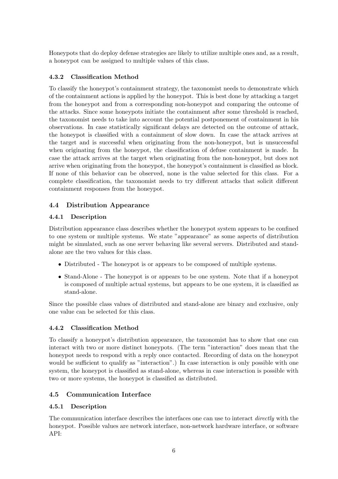Honeypots that do deploy defense strategies are likely to utilize multiple ones and, as a result, a honeypot can be assigned to multiple values of this class.

# 4.3.2 Classification Method

To classify the honeypot's containment strategy, the taxonomist needs to demonstrate which of the containment actions is applied by the honeypot. This is best done by attacking a target from the honeypot and from a corresponding non-honeypot and comparing the outcome of the attacks. Since some honeypots initiate the containment after some threshold is reached, the taxonomist needs to take into account the potential postponement of containment in his observations. In case statistically significant delays are detected on the outcome of attack, the honeypot is classified with a containment of slow down. In case the attack arrives at the target and is successful when originating from the non-honeypot, but is unsuccessful when originating from the honeypot, the classification of defuse containment is made. In case the attack arrives at the target when originating from the non-honeypot, but does not arrive when originating from the honeypot, the honeypot's containment is classified as block. If none of this behavior can be observed, none is the value selected for this class. For a complete classification, the taxonomist needs to try different attacks that solicit different containment responses from the honeypot.

# 4.4 Distribution Appearance

# 4.4.1 Description

Distribution appearance class describes whether the honeypot system appears to be confined to one system or multiple systems. We state "appearance" as some aspects of distribution might be simulated, such as one server behaving like several servers. Distributed and standalone are the two values for this class.

- Distributed The honeypot is or appears to be composed of multiple systems.
- Stand-Alone The honeypot is or appears to be one system. Note that if a honeypot is composed of multiple actual systems, but appears to be one system, it is classified as stand-alone.

Since the possible class values of distributed and stand-alone are binary and exclusive, only one value can be selected for this class.

# 4.4.2 Classification Method

To classify a honeypot's distribution appearance, the taxonomist has to show that one can interact with two or more distinct honeypots. (The term "interaction" does mean that the honeypot needs to respond with a reply once contacted. Recording of data on the honeypot would be sufficient to qualify as "interaction".) In case interaction is only possible with one system, the honeypot is classified as stand-alone, whereas in case interaction is possible with two or more systems, the honeypot is classified as distributed.

# 4.5 Communication Interface

# 4.5.1 Description

The communication interface describes the interfaces one can use to interact *directly* with the honeypot. Possible values are network interface, non-network hardware interface, or software API: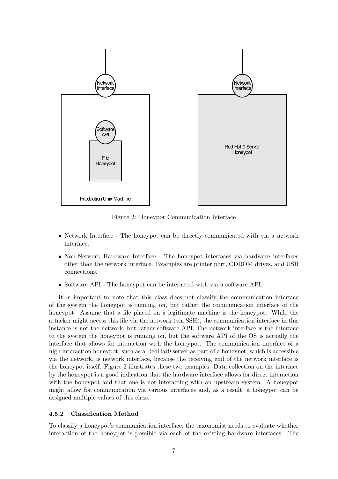

Figure 2: Honeypot Communication Interface

- Network Interface The honeypot can be directly communicated with via a network interface.
- Non-Network Hardware Interface The honeypot interfaces via hardware interfaces other than the network interface. Examples are printer port, CDROM drives, and USB connections.
- Software API The honeypot can be interacted with via a software API.

It is important to note that this class does not classify the communication interface of the system the honeypot is running on, but rather the communication interface of the honeypot. Assume that a file placed on a legitimate machine is the honeypot. While the attacker might access this file via the network (via SSH), the communication interface in this instance is not the network, but rather software API. The network interface is the interface to the system the honeypot is running on, but the software API of the OS is actually the interface that allows for interaction with the honeypot. The communication interface of a high interaction honeypot, such as a RedHat9 server as part of a honeynet, which is accessible via the network, is network interface, because the receiving end of the network interface is the honeypot itself. Figure 2 illustrates these two examples. Data collection on the interface by the honeypot is a good indication that the hardware interface allows for direct interaction with the honeypot and that one is not interacting with an upstream system. A honeypot might allow for communication via various interfaces and, as a result, a honeypot can be assigned multiple values of this class.

## 4.5.2 Classification Method

To classify a honeypot's communication interface, the taxonomist needs to evaluate whether interaction of the honeypot is possible via each of the existing hardware interfaces. The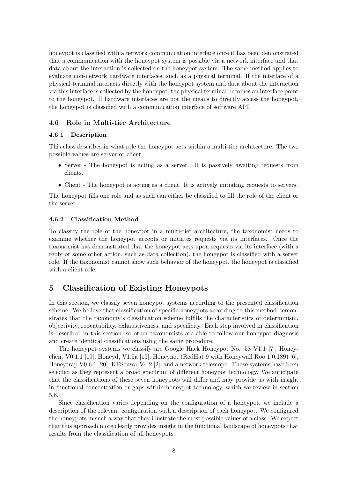honeypot is classified with a network communication interface once it has been demonstrated that a communication with the honeypot system is possible via a network interface and that data about the interaction is collected on the honeypot system. The same method applies to evaluate non-network hardware interfaces, such as a physical terminal. If the interface of a physical terminal interacts directly with the honeypot system and data about the interaction via this interface is collected by the honeypot, the physical terminal becomes an interface point to the honeypot. If hardware interfaces are not the means to directly access the honeypot, the honeypot is classified with a communication interface of software API.

#### 4.6 Role in Multi-tier Architecture

#### 4.6.1 Description

This class describes in what role the honeypot acts within a multi-tier architecture. The two possible values are server or client:

- Server The honeypot is acting as a server. It is passively awaiting requests from clients.
- Client The honeypot is acting as a client. It is actively initiating requests to servers.

The honeypot fills one role and as such can either be classified to fill the role of the client or the server.

#### 4.6.2 Classification Method

To classify the role of the honeypot in a multi-tier architecture, the taxonomist needs to examine whether the honeypot accepts or initiates requests via its interfaces. Once the taxonomist has demonstrated that the honeypot acts upon requests via its interface (with a reply or some other action, such as data collection), the honeypot is classified with a server role. If the taxonomist cannot show such behavior of the honeypot, the honeypot is classified with a client role.

# 5 Classification of Existing Honeypots

In this section, we classify seven honeypot systems according to the presented classification scheme. We believe that classification of specific honeypots according to this method demonstrates that the taxonomy's classification scheme fulfills the characteristics of determinism, objectivity, repeatability, exhaustiveness, and specificity. Each step involved in classification is described in this section, so other taxonomists are able to follow our honeypot diagnosis and create identical classifications using the same procedure.

The honeypot systems we classify are Google Hack Honeypot No. 58 V1.1 [7], Honeyclient V0.1.1 [19], Honeyd, V1.5a [15], Honeynet (RedHat 9 with Honeywall Roo 1.0.189) [6], Honeytrap V0.6.1 [20], KFSensor V4.2 [2], and a network telescope. Those systems have been selected as they represent a broad spectrum of different honeypot technology. We anticipate that the classifications of these seven honeypots will differ and may provide us with insight in functional concentration or gaps within honeypot technology, which we review in section 5.8.

Since classification varies depending on the configuration of a honeypot, we include a description of the relevant configuration with a description of each honeypot. We configured the honeypots in such a way that they illustrate the most possible values of a class. We expect that this approach more clearly provides insight in the functional landscape of honeypots that results from the classification of all honeypots.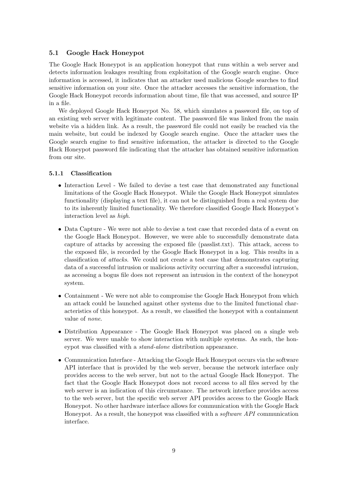## 5.1 Google Hack Honeypot

The Google Hack Honeypot is an application honeypot that runs within a web server and detects information leakages resulting from exploitation of the Google search engine. Once information is accessed, it indicates that an attacker used malicious Google searches to find sensitive information on your site. Once the attacker accesses the sensitive information, the Google Hack Honeypot records information about time, file that was accessed, and source IP in a file.

We deployed Google Hack Honeypot No. 58, which simulates a password file, on top of an existing web server with legitimate content. The password file was linked from the main website via a hidden link. As a result, the password file could not easily be reached via the main website, but could be indexed by Google search engine. Once the attacker uses the Google search engine to find sensitive information, the attacker is directed to the Google Hack Honeypot password file indicating that the attacker has obtained sensitive information from our site.

## 5.1.1 Classification

- Interaction Level We failed to devise a test case that demonstrated any functional limitations of the Google Hack Honeypot. While the Google Hack Honeypot simulates functionality (displaying a text file), it can not be distinguished from a real system due to its inherently limited functionality. We therefore classified Google Hack Honeypot's interaction level as high.
- Data Capture We were not able to devise a test case that recorded data of a event on the Google Hack Honeypot. However, we were able to successfully demonstrate data capture of attacks by accessing the exposed file (passlist.txt). This attack, access to the exposed file, is recorded by the Google Hack Honeypot in a log. This results in a classification of attacks. We could not create a test case that demonstrates capturing data of a successful intrusion or malicious activity occurring after a successful intrusion, as accessing a bogus file does not represent an intrusion in the context of the honeypot system.
- Containment We were not able to compromise the Google Hack Honeypot from which an attack could be launched against other systems due to the limited functional characteristics of this honeypot. As a result, we classified the honeypot with a containment value of none.
- Distribution Appearance The Google Hack Honeypot was placed on a single web server. We were unable to show interaction with multiple systems. As such, the honeypot was classified with a stand-alone distribution appearance.
- Communication Interface Attacking the Google Hack Honeypot occurs via the software API interface that is provided by the web server, because the network interface only provides access to the web server, but not to the actual Google Hack Honeypot. The fact that the Google Hack Honeypot does not record access to all files served by the web server is an indication of this circumstance. The network interface provides access to the web server, but the specific web server API provides access to the Google Hack Honeypot. No other hardware interface allows for communication with the Google Hack Honeypot. As a result, the honeypot was classified with a software API communication interface.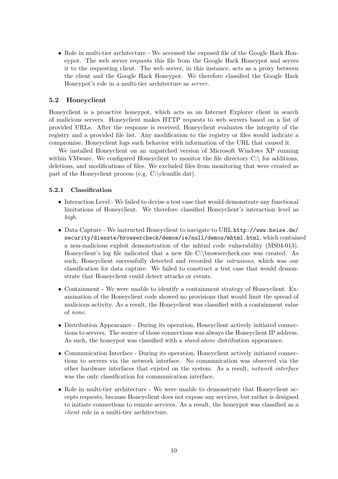• Role in multi-tier architecture - We accessed the exposed file of the Google Hack Honeypot. The web server requests this file from the Google Hack Honeypot and serves it to the requesting client. The web server, in this instance, acts as a proxy between the client and the Google Hack Honeypot. We therefore classified the Google Hack Honeypot's role in a multi-tier architecture as server.

# 5.2 Honeyclient

Honeyclient is a proactive honeypot, which acts as an Internet Explorer client in search of malicious servers. Honeyclient makes HTTP requests to web servers based on a list of provided URLs. After the response is received, Honeyclient evaluates the integrity of the registry and a provided file list. Any modification to the registry or files would indicate a compromise. Honeyclient logs such behavior with information of the URL that caused it.

We installed Honeyclient on an unpatched version of Microsoft Windows XP running within VMware. We configured Honeyclient to monitor the file directory  $C \setminus$  for additions, deletions, and modifications of files. We excluded files from monitoring that were created as part of the Honeyclient process (e.g. C:\cleanfile.dat).

## 5.2.1 Classification

- Interaction Level We failed to devise a test case that would demonstrate any functional limitations of Honeyclient. We therefore classified Honeyclient's interaction level as high.
- Data Capture We instructed Honeyclient to navigate to URL http://www.heise.de/ security/dienste/browsercheck/demos/ie/null/demos/mhtml.html, which contained a non-malicious exploit demonstration of the mhtml code vulnerability (MS04-013). Honeyclient's log file indicated that a new file C:\browsercheck.exe was created. As such, Honeyclient successfully detected and recorded the intrusions, which was our classification for data capture. We failed to construct a test case that would demonstrate that Honeyclient could detect attacks or events.
- Containment We were unable to identify a containment strategy of Honeyclient. Examination of the Honeyclient code showed no provisions that would limit the spread of malicious activity. As a result, the Honeyclient was classified with a containment value of none.
- Distribution Appearance During its operation, Honeyclient actively initiated connections to servers. The source of those connections was always the Honeyclient IP address. As such, the honeypot was classified with a *stand-alone* distribution appearance.
- Communication Interface During its operation, Honeyclient actively initiated connections to servers via the network interface. No communication was observed via the other hardware interfaces that existed on the system. As a result, network interface was the only classification for communication interface.
- Role in multi-tier architecture We were unable to demonstrate that Honeyclient accepts requests, because Honeyclient does not expose any services, but rather is designed to initiate connections to remote services. As a result, the honeypot was classified as a client role in a multi-tier architecture.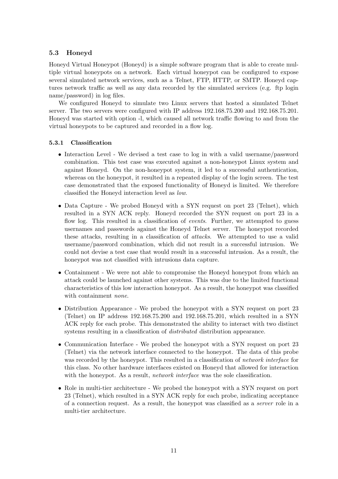# 5.3 Honeyd

Honeyd Virtual Honeypot (Honeyd) is a simple software program that is able to create multiple virtual honeypots on a network. Each virtual honeypot can be configured to expose several simulated network services, such as a Telnet, FTP, HTTP, or SMTP. Honeyd captures network traffic as well as any data recorded by the simulated services (e.g. ftp login name/password) in log files.

We configured Honeyd to simulate two Linux servers that hosted a simulated Telnet server. The two servers were configured with IP address 192.168.75.200 and 192.168.75.201. Honeyd was started with option -l, which caused all network traffic flowing to and from the virtual honeypots to be captured and recorded in a flow log.

## 5.3.1 Classification

- Interaction Level We devised a test case to log in with a valid username/password combination. This test case was executed against a non-honeypot Linux system and against Honeyd. On the non-honeypot system, it led to a successful authentication, whereas on the honeypot, it resulted in a repeated display of the login screen. The test case demonstrated that the exposed functionality of Honeyd is limited. We therefore classified the Honeyd interaction level as low.
- Data Capture We probed Honeyd with a SYN request on port 23 (Telnet), which resulted in a SYN ACK reply. Honeyd recorded the SYN request on port 23 in a flow log. This resulted in a classification of *events*. Further, we attempted to guess usernames and passwords against the Honeyd Telnet server. The honeypot recorded these attacks, resulting in a classification of attacks. We attempted to use a valid username/password combination, which did not result in a successful intrusion. We could not devise a test case that would result in a successful intrusion. As a result, the honeypot was not classified with intrusions data capture.
- Containment We were not able to compromise the Honeyd honeypot from which an attack could be launched against other systems. This was due to the limited functional characteristics of this low interaction honeypot. As a result, the honeypot was classified with containment none.
- Distribution Appearance We probed the honeypot with a SYN request on port 23 (Telnet) on IP address 192.168.75.200 and 192.168.75.201, which resulted in a SYN ACK reply for each probe. This demonstrated the ability to interact with two distinct systems resulting in a classification of *distributed* distribution appearance.
- Communication Interface We probed the honeypot with a SYN request on port 23 (Telnet) via the network interface connected to the honeypot. The data of this probe was recorded by the honeypot. This resulted in a classification of *network interface* for this class. No other hardware interfaces existed on Honeyd that allowed for interaction with the honeypot. As a result, *network interface* was the sole classification.
- Role in multi-tier architecture We probed the honeypot with a SYN request on port 23 (Telnet), which resulted in a SYN ACK reply for each probe, indicating acceptance of a connection request. As a result, the honeypot was classified as a server role in a multi-tier architecture.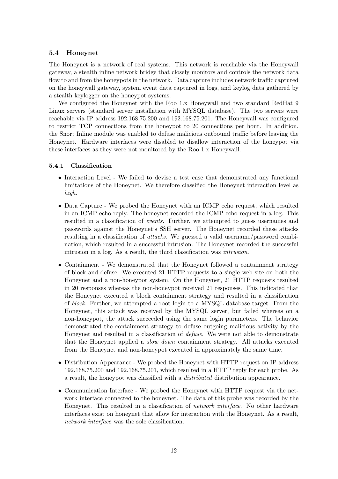## 5.4 Honeynet

The Honeynet is a network of real systems. This network is reachable via the Honeywall gateway, a stealth inline network bridge that closely monitors and controls the network data flow to and from the honeypots in the network. Data capture includes network traffic captured on the honeywall gateway, system event data captured in logs, and keylog data gathered by a stealth keylogger on the honeypot systems.

We configured the Honeynet with the Roo 1.x Honeywall and two standard RedHat 9 Linux servers (standard server installation with MYSQL database). The two servers were reachable via IP address 192.168.75.200 and 192.168.75.201. The Honeywall was configured to restrict TCP connections from the honeypot to 20 connections per hour. In addition, the Snort Inline module was enabled to defuse malicious outbound traffic before leaving the Honeynet. Hardware interfaces were disabled to disallow interaction of the honeypot via these interfaces as they were not monitored by the Roo 1.x Honeywall.

## 5.4.1 Classification

- Interaction Level We failed to devise a test case that demonstrated any functional limitations of the Honeynet. We therefore classified the Honeynet interaction level as high.
- Data Capture We probed the Honeynet with an ICMP echo request, which resulted in an ICMP echo reply. The honeynet recorded the ICMP echo request in a log. This resulted in a classification of events. Further, we attempted to guess usernames and passwords against the Honeynet's SSH server. The Honeynet recorded these attacks resulting in a classification of attacks. We guessed a valid username/password combination, which resulted in a successful intrusion. The Honeynet recorded the successful intrusion in a log. As a result, the third classification was intrusion.
- Containment We demonstrated that the Honeynet followed a containment strategy of block and defuse. We executed 21 HTTP requests to a single web site on both the Honeynet and a non-honeypot system. On the Honeynet, 21 HTTP requests resulted in 20 responses whereas the non-honeypot received 21 responses. This indicated that the Honeynet executed a block containment strategy and resulted in a classification of block. Further, we attempted a root login to a MYSQL database target. From the Honeynet, this attack was received by the MYSQL server, but failed whereas on a non-honeypot, the attack succeeded using the same login parameters. The behavior demonstrated the containment strategy to defuse outgoing malicious activity by the Honeynet and resulted in a classification of defuse. We were not able to demonstrate that the Honeynet applied a slow down containment strategy. All attacks executed from the Honeynet and non-honeypot executed in approximately the same time.
- Distribution Appearance We probed the Honeynet with HTTP request on IP address 192.168.75.200 and 192.168.75.201, which resulted in a HTTP reply for each probe. As a result, the honeypot was classified with a distributed distribution appearance.
- Communication Interface We probed the Honeynet with HTTP request via the network interface connected to the honeynet. The data of this probe was recorded by the Honeynet. This resulted in a classification of *network interface*. No other hardware interfaces exist on honeynet that allow for interaction with the Honeynet. As a result, network interface was the sole classification.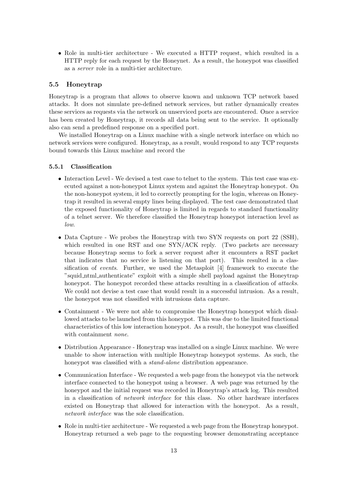• Role in multi-tier architecture - We executed a HTTP request, which resulted in a HTTP reply for each request by the Honeynet. As a result, the honeypot was classified as a server role in a multi-tier architecture.

# 5.5 Honeytrap

Honeytrap is a program that allows to observe known and unknown TCP network based attacks. It does not simulate pre-defined network services, but rather dynamically creates these services as requests via the network on unserviced ports are encountered. Once a service has been created by Honeytrap, it records all data being sent to the service. It optionally also can send a predefined response on a specified port.

We installed Honeytrap on a Linux machine with a single network interface on which no network services were configured. Honeytrap, as a result, would respond to any TCP requests bound towards this Linux machine and record the

#### 5.5.1 Classification

- Interaction Level We devised a test case to telnet to the system. This test case was executed against a non-honeypot Linux system and against the Honeytrap honeypot. On the non-honeypot system, it led to correctly prompting for the login, whereas on Honeytrap it resulted in several empty lines being displayed. The test case demonstrated that the exposed functionality of Honeytrap is limited in regards to standard functionality of a telnet server. We therefore classified the Honeytrap honeypot interaction level as low.
- Data Capture We probes the Honeytrap with two SYN requests on port 22 (SSH), which resulted in one RST and one SYN/ACK reply. (Two packets are necessary because Honeytrap seems to fork a server request after it encounters a RST packet that indicates that no service is listening on that port). This resulted in a classification of events. Further, we used the Metasploit [4] framework to execute the "squid ntml authenticate" exploit with a simple shell payload against the Honeytrap honeypot. The honeypot recorded these attacks resulting in a classification of *attacks*. We could not devise a test case that would result in a successful intrusion. As a result, the honeypot was not classified with intrusions data capture.
- Containment We were not able to compromise the Honeytrap honeypot which disallowed attacks to be launched from this honeypot. This was due to the limited functional characteristics of this low interaction honeypot. As a result, the honeypot was classified with containment *none*.
- Distribution Appearance Honeytrap was installed on a single Linux machine. We were unable to show interaction with multiple Honeytrap honeypot systems. As such, the honeypot was classified with a *stand-alone* distribution appearance.
- Communication Interface We requested a web page from the honeypot via the network interface connected to the honeypot using a browser. A web page was returned by the honeypot and the initial request was recorded in Honeytrap's attack log. This resulted in a classification of network interface for this class. No other hardware interfaces existed on Honeytrap that allowed for interaction with the honeypot. As a result, network interface was the sole classification.
- Role in multi-tier architecture We requested a web page from the Honeytrap honeypot. Honeytrap returned a web page to the requesting browser demonstrating acceptance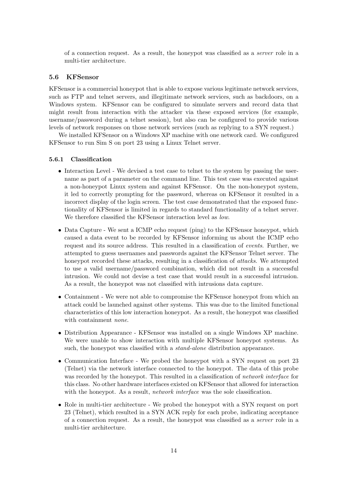of a connection request. As a result, the honeypot was classified as a server role in a multi-tier architecture.

#### 5.6 KFSensor

KFSensor is a commercial honeypot that is able to expose various legitimate network services, such as FTP and telnet servers, and illegitimate network services, such as backdoors, on a Windows system. KFSensor can be configured to simulate servers and record data that might result from interaction with the attacker via these exposed services (for example, username/password during a telnet session), but also can be configured to provide various levels of network responses on those network services (such as replying to a SYN request.)

We installed KFSensor on a Windows XP machine with one network card. We configured KFSensor to run Sim S on port 23 using a Linux Telnet server.

#### 5.6.1 Classification

- Interaction Level We devised a test case to telnet to the system by passing the username as part of a parameter on the command line. This test case was executed against a non-honeypot Linux system and against KFSensor. On the non-honeypot system, it led to correctly prompting for the password, whereas on KFSensor it resulted in a incorrect display of the login screen. The test case demonstrated that the exposed functionality of KFSensor is limited in regards to standard functionality of a telnet server. We therefore classified the KFSensor interaction level as *low*.
- Data Capture We sent a ICMP echo request (ping) to the KFSensor honeypot, which caused a data event to be recorded by KFSensor informing us about the ICMP echo request and its source address. This resulted in a classification of events. Further, we attempted to guess usernames and passwords against the KFSensor Telnet server. The honeypot recorded these attacks, resulting in a classification of *attacks*. We attempted to use a valid username/password combination, which did not result in a successful intrusion. We could not devise a test case that would result in a successful intrusion. As a result, the honeypot was not classified with intrusions data capture.
- Containment We were not able to compromise the KFSensor honeypot from which an attack could be launched against other systems. This was due to the limited functional characteristics of this low interaction honeypot. As a result, the honeypot was classified with containment *none*.
- Distribution Appearance KFSensor was installed on a single Windows XP machine. We were unable to show interaction with multiple KFSensor honeypot systems. As such, the honeypot was classified with a *stand-alone* distribution appearance.
- Communication Interface We probed the honeypot with a SYN request on port 23 (Telnet) via the network interface connected to the honeypot. The data of this probe was recorded by the honeypot. This resulted in a classification of *network interface* for this class. No other hardware interfaces existed on KFSensor that allowed for interaction with the honeypot. As a result, *network interface* was the sole classification.
- Role in multi-tier architecture We probed the honeypot with a SYN request on port 23 (Telnet), which resulted in a SYN ACK reply for each probe, indicating acceptance of a connection request. As a result, the honeypot was classified as a server role in a multi-tier architecture.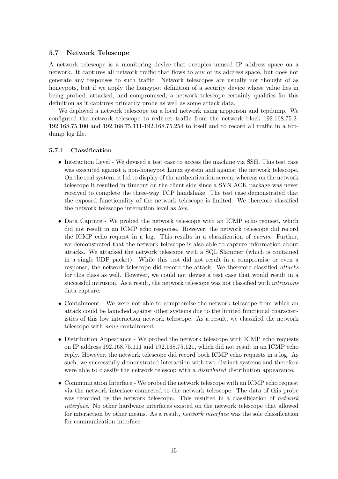#### 5.7 Network Telescope

A network telescope is a monitoring device that occupies unused IP address space on a network. It captures all network traffic that flows to any of its address space, but does not generate any responses to such traffic. Network telescopes are usually not thought of as honeypots, but if we apply the honeypot definition of a security device whose value lies in being probed, attacked, and compromised, a network telescope certainly qualifies for this definition as it captures primarily probe as well as some attack data.

We deployed a network telescope on a local network using arppoison and tcpdump. We configured the network telescope to redirect traffic from the network block 192.168.75.2- 192.168.75.100 and 192.168.75.111-192.168.75.254 to itself and to record all traffic in a tcpdump log file.

#### 5.7.1 Classification

- Interaction Level We devised a test case to access the machine via SSH. This test case was executed against a non-honeypot Linux system and against the network telescope. On the real system, it led to display of the authentication screen, whereas on the network telescope it resulted in timeout on the client side since a SYN ACK package was never received to complete the three-way TCP handshake. The test case demonstrated that the exposed functionality of the network telescope is limited. We therefore classified the network telescope interaction level as low.
- Data Capture We probed the network telescope with an ICMP echo request, which did not result in an ICMP echo response. However, the network telescope did record the ICMP echo request in a log. This results in a classification of events. Further, we demonstrated that the network telescope is also able to capture information about attacks. We attacked the network telescope with a SQL Slammer (which is contained in a single UDP packet). While this test did not result in a compromise or even a response, the network telescope did record the attack. We therefore classified attacks for this class as well. However, we could not devise a test case that would result in a successful intrusion. As a result, the network telescope was not classified with *intrusions* data capture.
- Containment We were not able to compromise the network telescope from which an attack could be launched against other systems due to the limited functional characteristics of this low interaction network telescope. As a result, we classified the network telescope with none containment.
- Distribution Appearance We probed the network telescope with ICMP echo requests on IP address 192.168.75.111 and 192.168.75.121, which did not result in an ICMP echo reply. However, the network telescope did record both ICMP echo requests in a log. As such, we successfully demonstrated interaction with two distinct systems and therefore were able to classify the network telescop with a *distributed* distribution appearance.
- Communication Interface We probed the network telescope with an ICMP echo request via the network interface connected to the network telescope. The data of this probe was recorded by the network telescope. This resulted in a classification of *network* interface. No other hardware interfaces existed on the network telescope that allowed for interaction by other means. As a result, *network interface* was the sole classification for communication interface.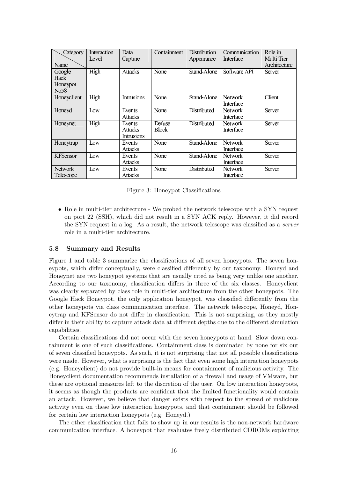| Category        | Interaction | Data              | Containment  | <b>Distribution</b> | Communication    | Role in       |
|-----------------|-------------|-------------------|--------------|---------------------|------------------|---------------|
|                 | Level       | Capture           |              | Appearance          | <b>Interface</b> | Multi Tier    |
| Name            |             |                   |              |                     |                  | Architecture  |
| Google          | High        | <b>Attacks</b>    | None         | Stand-Alone         | Software API     | <b>Server</b> |
| Hack            |             |                   |              |                     |                  |               |
| Honeypot        |             |                   |              |                     |                  |               |
| No58            |             |                   |              |                     |                  |               |
| Honeyclient     | High        | <b>Intrusions</b> | None         | Stand-Alone         | <b>Network</b>   | Client        |
|                 |             |                   |              |                     | Interface        |               |
| Honeyd          | Low         | Events            | None         | Distributed         | Network          | Server        |
|                 |             | <b>Attacks</b>    |              |                     | <b>Interface</b> |               |
| Honeynet        | High        | Events            | Defuse       | Distributed         | <b>Network</b>   | <b>Server</b> |
|                 |             | <b>Attacks</b>    | <b>Block</b> |                     | Interface        |               |
|                 |             | <b>Intrusions</b> |              |                     |                  |               |
| Honeytrap       | Low         | Events            | None         | Stand-Alone         | <b>Network</b>   | Server        |
|                 |             | <b>Attacks</b>    |              |                     | Interface        |               |
| <b>KFSensor</b> | Low         | Events            | None         | Stand-Alone         | <b>Network</b>   | <b>Server</b> |
|                 |             | <b>Attacks</b>    |              |                     | <b>Interface</b> |               |
| Network         | Low         | Events            | None         | Distributed         | <b>Network</b>   | <b>Server</b> |
| Telescope       |             | <b>Attacks</b>    |              |                     | Interface        |               |

Figure 3: Honeypot Classifications

• Role in multi-tier architecture - We probed the network telescope with a SYN request on port 22 (SSH), which did not result in a SYN ACK reply. However, it did record the SYN request in a log. As a result, the network telescope was classified as a server role in a multi-tier architecture.

#### 5.8 Summary and Results

Figure 1 and table 3 summarize the classifications of all seven honeypots. The seven honeypots, which differ conceptually, were classified differently by our taxonomy. Honeyd and Honeynet are two honeypot systems that are usually cited as being very unlike one another. According to our taxonomy, classification differs in three of the six classes. Honeyclient was clearly separated by class role in multi-tier architecture from the other honeypots. The Google Hack Honeypot, the only application honeypot, was classified differently from the other honeypots via class communication interface. The network telescope, Honeyd, Honeytrap and KFSensor do not differ in classification. This is not surprising, as they mostly differ in their ability to capture attack data at different depths due to the different simulation capabilities.

Certain classifications did not occur with the seven honeypots at hand. Slow down containment is one of such classifications. Containment class is dominated by none for six out of seven classified honeypots. As such, it is not surprising that not all possible classifications were made. However, what is surprising is the fact that even some high interaction honeypots (e.g. Honeyclient) do not provide built-in means for containment of malicious activity. The Honeyclient documentation recommends installation of a firewall and usage of VMware, but these are optional measures left to the discretion of the user. On low interaction honeypots, it seems as though the products are confident that the limited functionality would contain an attack. However, we believe that danger exists with respect to the spread of malicious activity even on these low interaction honeypots, and that containment should be followed for certain low interaction honeypots (e.g. Honeyd.)

The other classification that fails to show up in our results is the non-network hardware communication interface. A honeypot that evaluates freely distributed CDROMs exploiting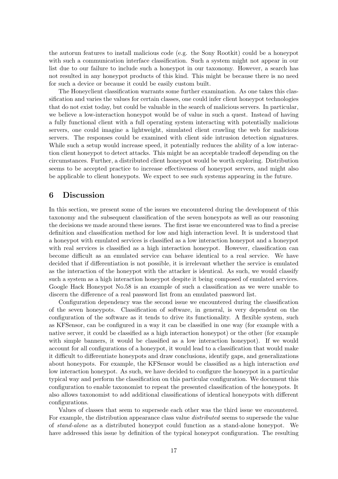the autorun features to install malicious code (e.g. the Sony Rootkit) could be a honeypot with such a communication interface classification. Such a system might not appear in our list due to our failure to include such a honeypot in our taxonomy. However, a search has not resulted in any honeypot products of this kind. This might be because there is no need for such a device or because it could be easily custom built.

The Honeyclient classification warrants some further examination. As one takes this classification and varies the values for certain classes, one could infer client honeypot technologies that do not exist today, but could be valuable in the search of malicious servers. In particular, we believe a low-interaction honeypot would be of value in such a quest. Instead of having a fully functional client with a full operating system interacting with potentially malicious servers, one could imagine a lightweight, simulated client crawling the web for malicious servers. The responses could be examined with client side intrusion detection signatures. While such a setup would increase speed, it potentially reduces the ability of a low interaction client honeypot to detect attacks. This might be an acceptable tradeoff depending on the circumstances. Further, a distributed client honeypot would be worth exploring. Distribution seems to be accepted practice to increase effectiveness of honeypot servers, and might also be applicable to client honeypots. We expect to see such systems appearing in the future.

# 6 Discussion

In this section, we present some of the issues we encountered during the development of this taxonomy and the subsequent classification of the seven honeypots as well as our reasoning the decisions we made around these issues. The first issue we encountered was to find a precise definition and classification method for low and high interaction level. It is understood that a honeypot with emulated services is classified as a low interaction honeypot and a honeypot with real services is classified as a high interaction honeypot. However, classification can become difficult as an emulated service can behave identical to a real service. We have decided that if differentiation is not possible, it is irrelevant whether the service is emulated as the interaction of the honeypot with the attacker is identical. As such, we would classify such a system as a high interaction honeypot despite it being composed of emulated services. Google Hack Honeypot No.58 is an example of such a classification as we were unable to discern the difference of a real password list from an emulated password list.

Configuration dependency was the second issue we encountered during the classification of the seven honeypots. Classification of software, in general, is very dependent on the configuration of the software as it tends to drive its functionality. A flexible system, such as KFSensor, can be configured in a way it can be classified in one way (for example with a native server, it could be classified as a high interaction honeypot) or the other (for example with simple banners, it would be classified as a low interaction honeypot). If we would account for all configurations of a honeypot, it would lead to a classification that would make it difficult to differentiate honeypots and draw conclusions, identify gaps, and generalizations about honeypots. For example, the KFSensor would be classified as a high interaction and low interaction honeypot. As such, we have decided to configure the honeypot in a particular typical way and perform the classification on this particular configuration. We document this configuration to enable taxonomist to repeat the presented classification of the honeypots. It also allows taxonomist to add additional classifications of identical honeypots with different configurations.

Values of classes that seem to supersede each other was the third issue we encountered. For example, the distribution appearance class value distributed seems to supersede the value of stand-alone as a distributed honeypot could function as a stand-alone honeypot. We have addressed this issue by definition of the typical honeypot configuration. The resulting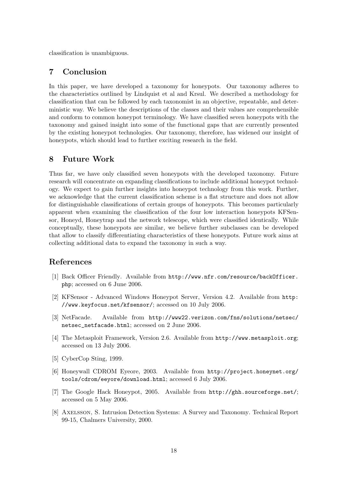classification is unambiguous.

# 7 Conclusion

In this paper, we have developed a taxonomy for honeypots. Our taxonomy adheres to the characteristics outlined by Lindquist et al and Krsul. We described a methodology for classification that can be followed by each taxonomist in an objective, repeatable, and deterministic way. We believe the descriptions of the classes and their values are comprehensible and conform to common honeypot terminology. We have classified seven honeypots with the taxonomy and gained insight into some of the functional gaps that are currently presented by the existing honeypot technologies. Our taxonomy, therefore, has widened our insight of honeypots, which should lead to further exciting research in the field.

# 8 Future Work

Thus far, we have only classified seven honeypots with the developed taxonomy. Future research will concentrate on expanding classifications to include additional honeypot technology. We expect to gain further insights into honeypot technology from this work. Further, we acknowledge that the current classification scheme is a flat structure and does not allow for distinguishable classifications of certain groups of honeypots. This becomes particularly apparent when examining the classification of the four low interaction honeypots KFSensor, Honeyd, Honeytrap and the network telescope, which were classified identically. While conceptually, these honeypots are similar, we believe further subclasses can be developed that allow to classify differentiating characteristics of these honeypots. Future work aims at collecting additional data to expand the taxonomy in such a way.

# References

- [1] Back Officer Friendly. Available from http://www.nfr.com/resource/backOfficer. php; accessed on 6 June 2006.
- [2] KFSensor Advanced Windows Honeypot Server, Version 4.2. Available from http: //www.keyfocus.net/kfsensor/; accessed on 10 July 2006.
- [3] NetFacade. Available from http://www22.verizon.com/fns/solutions/netsec/ netsec\_netfacade.html; accessed on 2 June 2006.
- [4] The Metasploit Framework, Version 2.6. Available from http://www.metasploit.org; accessed on 13 July 2006.
- [5] CyberCop Sting, 1999.
- [6] Honeywall CDROM Eyeore, 2003. Available from http://project.honeynet.org/ tools/cdrom/eeyore/download.html; accessed 6 July 2006.
- [7] The Google Hack Honeypot, 2005. Available from http://ghh.sourceforge.net/; accessed on 5 May 2006.
- [8] Axelsson, S. Intrusion Detection Systems: A Survey and Taxonomy. Technical Report 99-15, Chalmers University, 2000.